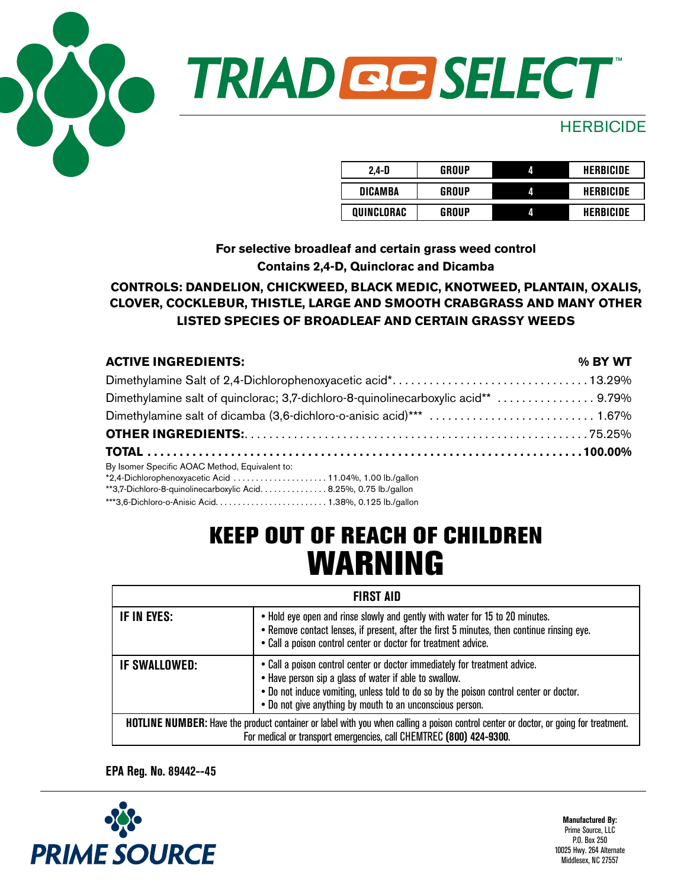

# TRIAD GE SELECT

### **HERBICIDE**

| $2.4-D$        | GROUP | Л | <b>HERBICIDE</b> |
|----------------|-------|---|------------------|
| <b>DICAMBA</b> | GROUP | Л | HERBICIDE        |
| QUINCLORAC     | GROUP |   | HERBICIDE        |

**For selective broadleaf and certain grass weed control Contains 2,4-D, Quinclorac and Dicamba**

### **CONTROLS: DANDELION, CHICKWEED, BLACK MEDIC, KNOTWEED, PLANTAIN, OXALIS, CLOVER, COCKLEBUR, THISTLE, LARGE AND SMOOTH CRABGRASS AND MANY OTHER LISTED SPECIES OF BROADLEAF AND CERTAIN GRASSY WEEDS**

| <b>ACTIVE INGREDIENTS:</b>                                                         | % BY WT |
|------------------------------------------------------------------------------------|---------|
|                                                                                    |         |
| Dimethylamine salt of quinclorac; 3,7-dichloro-8-quinolinecarboxylic acid**  9.79% |         |
|                                                                                    |         |
|                                                                                    |         |
|                                                                                    |         |
| By Isomer Specific AOAC Method, Equivalent to:                                     |         |
|                                                                                    |         |
| **3,7-Dichloro-8-quinolinecarboxylic Acid. 8.25%, 0.75 lb./gallon                  |         |
|                                                                                    |         |

### KEEP OUT OF REACH OF CHILDREN WARNING

| <b>FIRST AID</b>                                                                                                                                                                                            |                                                                                                                                                                                                                                                                                             |  |
|-------------------------------------------------------------------------------------------------------------------------------------------------------------------------------------------------------------|---------------------------------------------------------------------------------------------------------------------------------------------------------------------------------------------------------------------------------------------------------------------------------------------|--|
| IF IN EYES:                                                                                                                                                                                                 | . Hold eye open and rinse slowly and gently with water for 15 to 20 minutes.<br>. Remove contact lenses, if present, after the first 5 minutes, then continue rinsing eye.<br>• Call a poison control center or doctor for treatment advice.                                                |  |
| <b>IF SWALLOWED:</b>                                                                                                                                                                                        | . Call a poison control center or doctor immediately for treatment advice.<br>• Have person sip a glass of water if able to swallow.<br>. Do not induce vomiting, unless told to do so by the poison control center or doctor.<br>• Do not give anything by mouth to an unconscious person. |  |
| HOTLINE NUMBER: Have the product container or label with you when calling a poison control center or doctor, or going for treatment.<br>For medical or transport emergencies, call CHEMTREC (800) 424-9300. |                                                                                                                                                                                                                                                                                             |  |

**EPA Reg. No. 89442--45** 

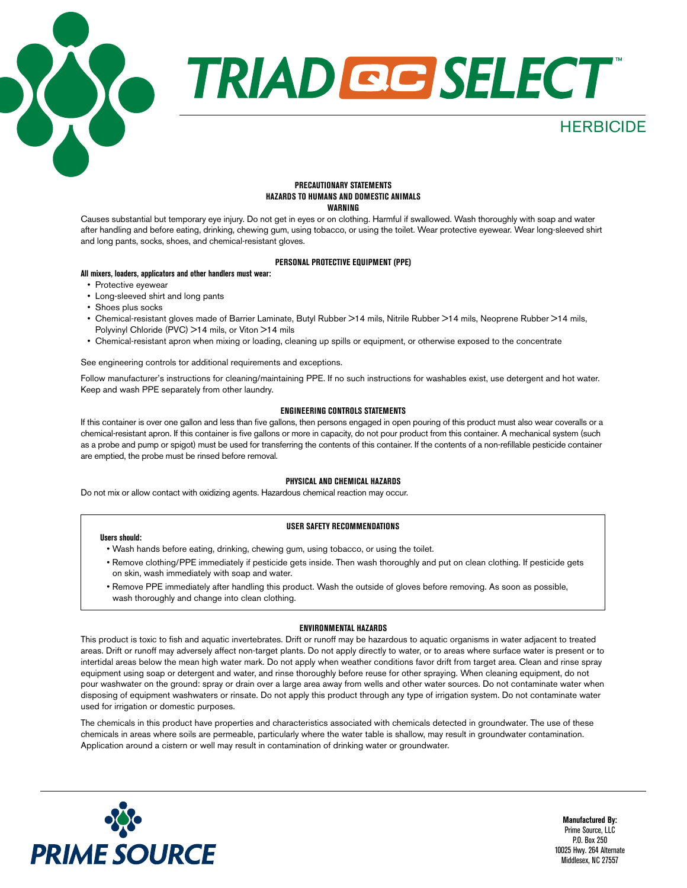

#### **PRECAUTIONARY STATEMENTS HAZARDS TO HUMANS AND DOMESTIC ANIMALS WARNING**

Causes substantial but temporary eye injury. Do not get in eyes or on clothing. Harmful if swallowed. Wash thoroughly with soap and water after handling and before eating, drinking, chewing gum, using tobacco, or using the toilet. Wear protective eyewear. Wear long-sleeved shirt and long pants, socks, shoes, and chemical-resistant gloves.

#### **PERSONAL PROTECTIVE EQUIPMENT (PPE)**

#### **All mixers, loaders, applicators and other handlers must wear:**

- Protective eyewear
- Long-sleeved shirt and long pants
- Shoes plus socks
- Chemical-resistant gloves made of Barrier Laminate, Butyl Rubber >14 mils, Nitrile Rubber >14 mils, Neoprene Rubber >14 mils, Polyvinyl Chloride (PVC) >14 mils, or Viton >14 mils
- Chemical-resistant apron when mixing or loading, cleaning up spills or equipment, or otherwise exposed to the concentrate

#### See engineering controls tor additional requirements and exceptions.

Follow manufacturer's instructions for cleaning/maintaining PPE. If no such instructions for washables exist, use detergent and hot water. Keep and wash PPE separately from other laundry.

#### **ENGINEERING CONTROLS STATEMENTS**

If this container is over one gallon and less than five gallons, then persons engaged in open pouring of this product must also wear coveralls or a chemical-resistant apron. If this container is five gallons or more in capacity, do not pour product from this container. A mechanical system (such as a probe and pump or spigot) must be used for transferring the contents of this container. If the contents of a non-refillable pesticide container are emptied, the probe must be rinsed before removal.

#### **PHYSICAL AND CHEMICAL HAZARDS**

Do not mix or allow contact with oxidizing agents. Hazardous chemical reaction may occur.

#### **USER SAFETY RECOMMENDATIONS**

#### **Users should:**

- Wash hands before eating, drinking, chewing gum, using tobacco, or using the toilet.
- Remove clothing/PPE immediately if pesticide gets inside. Then wash thoroughly and put on clean clothing. If pesticide gets on skin, wash immediately with soap and water.
- Remove PPE immediately after handling this product. Wash the outside of gloves before removing. As soon as possible, wash thoroughly and change into clean clothing.

#### **ENVIRONMENTAL HAZARDS**

This product is toxic to fish and aquatic invertebrates. Drift or runoff may be hazardous to aquatic organisms in water adjacent to treated areas. Drift or runoff may adversely affect non-target plants. Do not apply directly to water, or to areas where surface water is present or to intertidal areas below the mean high water mark. Do not apply when weather conditions favor drift from target area. Clean and rinse spray equipment using soap or detergent and water, and rinse thoroughly before reuse for other spraying. When cleaning equipment, do not pour washwater on the ground: spray or drain over a large area away from wells and other water sources. Do not contaminate water when disposing of equipment washwaters or rinsate. Do not apply this product through any type of irrigation system. Do not contaminate water used for irrigation or domestic purposes.

The chemicals in this product have properties and characteristics associated with chemicals detected in groundwater. The use of these chemicals in areas where soils are permeable, particularly where the water table is shallow, may result in groundwater contamination. Application around a cistern or well may result in contamination of drinking water or groundwater.

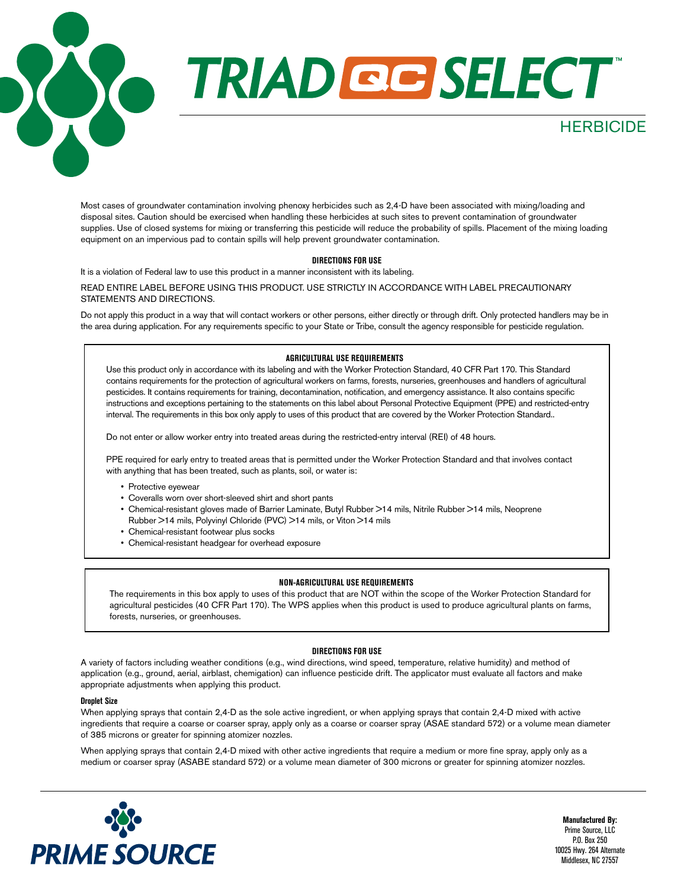## **TRIAD GESELECT**

Most cases of groundwater contamination involving phenoxy herbicides such as 2,4-D have been associated with mixing/loading and disposal sites. Caution should be exercised when handling these herbicides at such sites to prevent contamination of groundwater supplies. Use of closed systems for mixing or transferring this pesticide will reduce the probability of spills. Placement of the mixing loading equipment on an impervious pad to contain spills will help prevent groundwater contamination.

#### **DIRECTIONS FOR USE**

It is a violation of Federal law to use this product in a manner inconsistent with its labeling.

READ ENTIRE LABEL BEFORE USING THIS PRODUCT. USE STRICTLY IN ACCORDANCE WITH LABEL PRECAUTIONARY STATEMENTS AND DIRECTIONS.

Do not apply this product in a way that will contact workers or other persons, either directly or through drift. Only protected handlers may be in the area during application. For any requirements specific to your State or Tribe, consult the agency responsible for pesticide regulation.

#### **AGRICULTURAL USE REQUIREMENTS**

Use this product only in accordance with its labeling and with the Worker Protection Standard, 40 CFR Part 170. This Standard contains requirements for the protection of agricultural workers on farms, forests, nurseries, greenhouses and handlers of agricultural pesticides. It contains requirements for training, decontamination, notification, and emergency assistance. It also contains specific instructions and exceptions pertaining to the statements on this label about Personal Protective Equipment (PPE) and restricted-entry interval. The requirements in this box only apply to uses of this product that are covered by the Worker Protection Standard..

Do not enter or allow worker entry into treated areas during the restricted-entry interval (REI) of 48 hours.

PPE required for early entry to treated areas that is permitted under the Worker Protection Standard and that involves contact with anything that has been treated, such as plants, soil, or water is:

- Protective eyewear
- Coveralls worn over short-sleeved shirt and short pants
- Chemical-resistant gloves made of Barrier Laminate, Butyl Rubber >14 mils, Nitrile Rubber >14 mils, Neoprene Rubber >14 mils, Polyvinyl Chloride (PVC) >14 mils, or Viton >14 mils
- Chemical-resistant footwear plus socks
- Chemical-resistant headgear for overhead exposure

#### **NON-AGRICULTURAL USE REQUIREMENTS**

The requirements in this box apply to uses of this product that are NOT within the scope of the Worker Protection Standard for agricultural pesticides (40 CFR Part 170). The WPS applies when this product is used to produce agricultural plants on farms, forests, nurseries, or greenhouses.

#### **DIRECTIONS FOR USE**

A variety of factors including weather conditions (e.g., wind directions, wind speed, temperature, relative humidity) and method of application (e.g., ground, aerial, airblast, chemigation) can influence pesticide drift. The applicator must evaluate all factors and make appropriate adjustments when applying this product.

#### **Droplet Size**

When applying sprays that contain 2,4-D as the sole active ingredient, or when applying sprays that contain 2,4-D mixed with active ingredients that require a coarse or coarser spray, apply only as a coarse or coarser spray (ASAE standard 572) or a volume mean diameter of 385 microns or greater for spinning atomizer nozzles.

When applying sprays that contain 2,4-D mixed with other active ingredients that require a medium or more fine spray, apply only as a medium or coarser spray (ASABE standard 572) or a volume mean diameter of 300 microns or greater for spinning atomizer nozzles.



**Manufactured By:** Prime Source, LLC P.O. Box 250 10025 Hwy. 264 Alternate Middlesex, NC 27557

**HERBICIDE**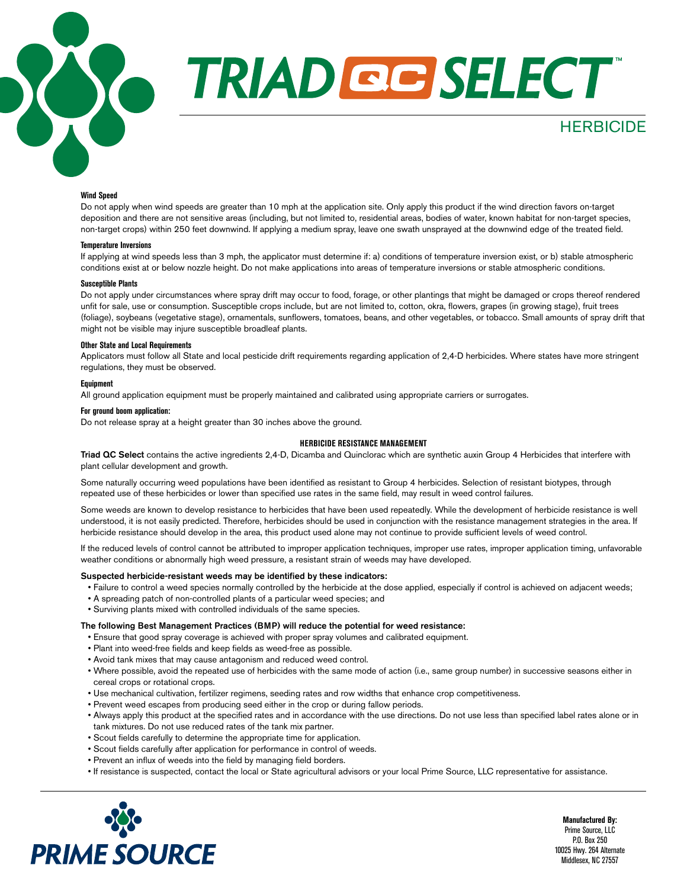

# **TRIAD QC SELECT**

#### **Wind Speed**

Do not apply when wind speeds are greater than 10 mph at the application site. Only apply this product if the wind direction favors on-target deposition and there are not sensitive areas (including, but not limited to, residential areas, bodies of water, known habitat for non-target species, non-target crops) within 250 feet downwind. If applying a medium spray, leave one swath unsprayed at the downwind edge of the treated field.

#### **Temperature Inversions**

If applying at wind speeds less than 3 mph, the applicator must determine if: a) conditions of temperature inversion exist, or b) stable atmospheric conditions exist at or below nozzle height. Do not make applications into areas of temperature inversions or stable atmospheric conditions.

#### **Susceptible Plants**

Do not apply under circumstances where spray drift may occur to food, forage, or other plantings that might be damaged or crops thereof rendered unfit for sale, use or consumption. Susceptible crops include, but are not limited to, cotton, okra, flowers, grapes (in growing stage), fruit trees (foliage), soybeans (vegetative stage), ornamentals, sunflowers, tomatoes, beans, and other vegetables, or tobacco. Small amounts of spray drift that might not be visible may injure susceptible broadleaf plants.

#### **Other State and Local Requirements**

Applicators must follow all State and local pesticide drift requirements regarding application of 2,4-D herbicides. Where states have more stringent regulations, they must be observed.

#### **Equipment**

All ground application equipment must be properly maintained and calibrated using appropriate carriers or surrogates.

#### **For ground boom application:**

Do not release spray at a height greater than 30 inches above the ground.

#### **HERBICIDE RESISTANCE MANAGEMENT**

Triad QC Select contains the active ingredients 2,4-D, Dicamba and Quinclorac which are synthetic auxin Group 4 Herbicides that interfere with plant cellular development and growth.

Some naturally occurring weed populations have been identified as resistant to Group 4 herbicides. Selection of resistant biotypes, through repeated use of these herbicides or lower than specified use rates in the same field, may result in weed control failures.

Some weeds are known to develop resistance to herbicides that have been used repeatedly. While the development of herbicide resistance is well understood, it is not easily predicted. Therefore, herbicides should be used in conjunction with the resistance management strategies in the area. If herbicide resistance should develop in the area, this product used alone may not continue to provide sufficient levels of weed control.

If the reduced levels of control cannot be attributed to improper application techniques, improper use rates, improper application timing, unfavorable weather conditions or abnormally high weed pressure, a resistant strain of weeds may have developed.

#### Suspected herbicide-resistant weeds may be identified by these indicators:

- Failure to control a weed species normally controlled by the herbicide at the dose applied, especially if control is achieved on adjacent weeds;
- A spreading patch of non-controlled plants of a particular weed species; and
- Surviving plants mixed with controlled individuals of the same species.

#### The following Best Management Practices (BMP) will reduce the potential for weed resistance:

- Ensure that good spray coverage is achieved with proper spray volumes and calibrated equipment.
- Plant into weed-free fields and keep fields as weed-free as possible.
- Avoid tank mixes that may cause antagonism and reduced weed control.
- Where possible, avoid the repeated use of herbicides with the same mode of action (i.e., same group number) in successive seasons either in cereal crops or rotational crops.
- Use mechanical cultivation, fertilizer regimens, seeding rates and row widths that enhance crop competitiveness.
- Prevent weed escapes from producing seed either in the crop or during fallow periods.
- Always apply this product at the specified rates and in accordance with the use directions. Do not use less than specified label rates alone or in tank mixtures. Do not use reduced rates of the tank mix partner.
- Scout fields carefully to determine the appropriate time for application.
- Scout fields carefully after application for performance in control of weeds.
- Prevent an influx of weeds into the field by managing field borders.
- If resistance is suspected, contact the local or State agricultural advisors or your local Prime Source, LLC representative for assistance.



**Manufactured By:** Prime Source, LLC P.O. Box 250 10025 Hwy. 264 Alternate Middlesex, NC 27557

**HERBICIDE**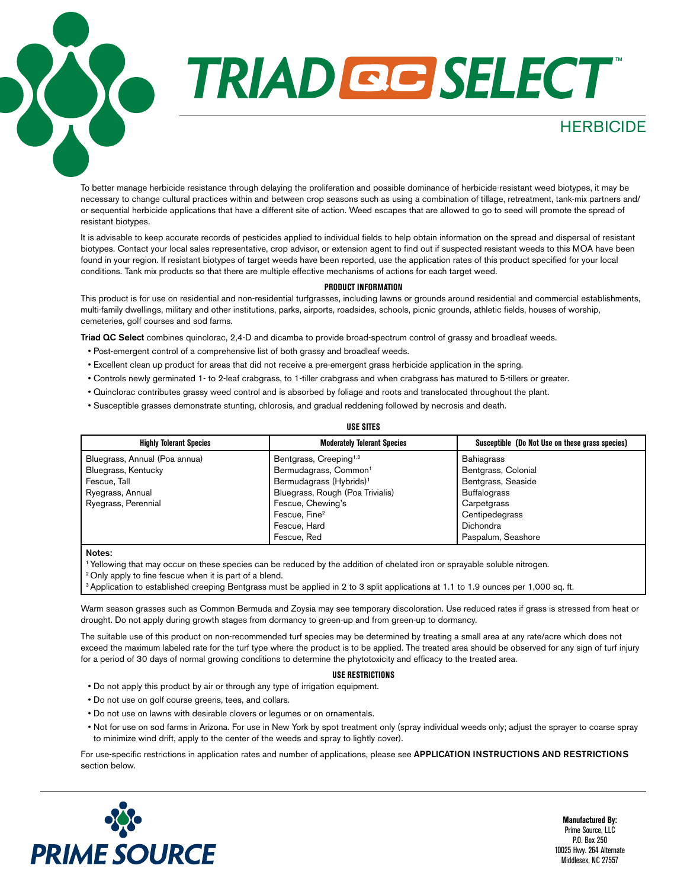# TRIAD GE SELECT

To better manage herbicide resistance through delaying the proliferation and possible dominance of herbicide-resistant weed biotypes, it may be necessary to change cultural practices within and between crop seasons such as using a combination of tillage, retreatment, tank-mix partners and/ or sequential herbicide applications that have a different site of action. Weed escapes that are allowed to go to seed will promote the spread of resistant biotypes.

It is advisable to keep accurate records of pesticides applied to individual fields to help obtain information on the spread and dispersal of resistant biotypes. Contact your local sales representative, crop advisor, or extension agent to find out if suspected resistant weeds to this MOA have been found in your region. If resistant biotypes of target weeds have been reported, use the application rates of this product specified for your local conditions. Tank mix products so that there are multiple effective mechanisms of actions for each target weed.

#### **PRODUCT INFORMATION**

This product is for use on residential and non-residential turfgrasses, including lawns or grounds around residential and commercial establishments, multi-family dwellings, military and other institutions, parks, airports, roadsides, schools, picnic grounds, athletic fields, houses of worship, cemeteries, golf courses and sod farms.

Triad QC Select combines quinclorac, 2,4-D and dicamba to provide broad-spectrum control of grassy and broadleaf weeds.

- Post-emergent control of a comprehensive list of both grassy and broadleaf weeds.
- Excellent clean up product for areas that did not receive a pre-emergent grass herbicide application in the spring.
- Controls newly germinated 1- to 2-leaf crabgrass, to 1-tiller crabgrass and when crabgrass has matured to 5-tillers or greater.
- Quinclorac contributes grassy weed control and is absorbed by foliage and roots and translocated throughout the plant.
- Susceptible grasses demonstrate stunting, chlorosis, and gradual reddening followed by necrosis and death.

| USE SIIES                      |                                     |                                                 |  |  |
|--------------------------------|-------------------------------------|-------------------------------------------------|--|--|
| <b>Highly Tolerant Species</b> | <b>Moderately Tolerant Species</b>  | Susceptible (Do Not Use on these grass species) |  |  |
| Bluegrass, Annual (Poa annua)  | Bentgrass, Creeping <sup>1,3</sup>  | <b>Bahiagrass</b>                               |  |  |
| Bluegrass, Kentucky            | Bermudagrass, Common <sup>1</sup>   | Bentgrass, Colonial                             |  |  |
| Fescue, Tall                   | Bermudagrass (Hybrids) <sup>1</sup> | Bentgrass, Seaside                              |  |  |
| Ryegrass, Annual               | Bluegrass, Rough (Poa Trivialis)    | <b>Buffalograss</b>                             |  |  |
| Ryegrass, Perennial            | Fescue, Chewing's                   | Carpetgrass                                     |  |  |
|                                | Fescue, Fine <sup>2</sup>           | Centipedegrass                                  |  |  |
|                                | Fescue, Hard                        | <b>Dichondra</b>                                |  |  |
|                                | Fescue, Red                         | Paspalum, Seashore                              |  |  |

Notes:

1 Yellowing that may occur on these species can be reduced by the addition of chelated iron or sprayable soluble nitrogen.

<sup>2</sup> Only apply to fine fescue when it is part of a blend.

<sup>3</sup> Application to established creeping Bentgrass must be applied in 2 to 3 split applications at 1.1 to 1.9 ounces per 1,000 sq. ft.

Warm season grasses such as Common Bermuda and Zoysia may see temporary discoloration. Use reduced rates if grass is stressed from heat or drought. Do not apply during growth stages from dormancy to green-up and from green-up to dormancy.

The suitable use of this product on non-recommended turf species may be determined by treating a small area at any rate/acre which does not exceed the maximum labeled rate for the turf type where the product is to be applied. The treated area should be observed for any sign of turf injury for a period of 30 days of normal growing conditions to determine the phytotoxicity and efficacy to the treated area.

#### **USE RESTRICTIONS**

- Do not apply this product by air or through any type of irrigation equipment.
- Do not use on golf course greens, tees, and collars.
- Do not use on lawns with desirable clovers or legumes or on ornamentals.
- Not for use on sod farms in Arizona. For use in New York by spot treatment only (spray individual weeds only; adjust the sprayer to coarse spray to minimize wind drift, apply to the center of the weeds and spray to lightly cover).

For use-specific restrictions in application rates and number of applications, please see APPLICATION INSTRUCTIONS AND RESTRICTIONS section below.



**Manufactured By:** Prime Source, LLC P.O. Box 250 10025 Hwy. 264 Alternate Middlesex, NC 27557

**HERBICIDE** 

#### **USE SITES**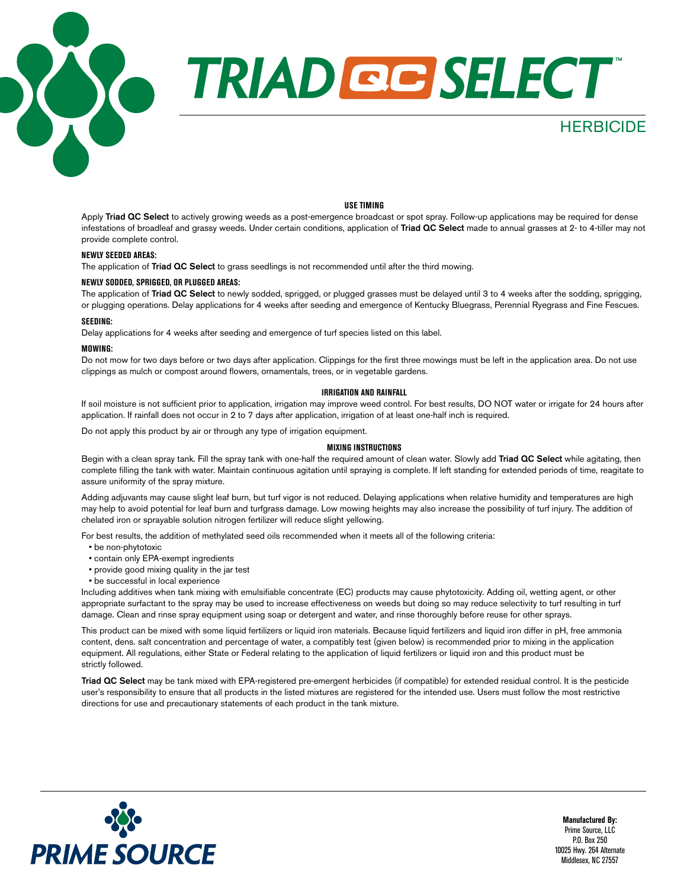

#### **USE TIMING**

Apply Triad QC Select to actively growing weeds as a post-emergence broadcast or spot spray. Follow-up applications may be required for dense infestations of broadleaf and grassy weeds. Under certain conditions, application of Triad QC Select made to annual grasses at 2- to 4-tiller may not provide complete control.

#### **NEWLY SEEDED AREAS:**

The application of Triad QC Select to grass seedlings is not recommended until after the third mowing.

#### **NEWLY SODDED, SPRIGGED, OR PLUGGED AREAS:**

The application of Triad QC Select to newly sodded, sprigged, or plugged grasses must be delayed until 3 to 4 weeks after the sodding, sprigging, or plugging operations. Delay applications for 4 weeks after seeding and emergence of Kentucky Bluegrass, Perennial Ryegrass and Fine Fescues.

#### **SEEDING:**

Delay applications for 4 weeks after seeding and emergence of turf species listed on this label.

#### **MOWING:**

Do not mow for two days before or two days after application. Clippings for the first three mowings must be left in the application area. Do not use clippings as mulch or compost around flowers, ornamentals, trees, or in vegetable gardens.

#### **IRRIGATION AND RAINFALL**

If soil moisture is not sufficient prior to application, irrigation may improve weed control. For best results, DO NOT water or irrigate for 24 hours after application. If rainfall does not occur in 2 to 7 days after application, irrigation of at least one-half inch is required.

Do not apply this product by air or through any type of irrigation equipment.

#### **MIXING INSTRUCTIONS**

Begin with a clean spray tank. Fill the spray tank with one-half the required amount of clean water. Slowly add Triad QC Select while agitating, then complete filling the tank with water. Maintain continuous agitation until spraying is complete. If left standing for extended periods of time, reagitate to assure uniformity of the spray mixture.

Adding adjuvants may cause slight leaf burn, but turf vigor is not reduced. Delaying applications when relative humidity and temperatures are high may help to avoid potential for leaf burn and turfgrass damage. Low mowing heights may also increase the possibility of turf injury. The addition of chelated iron or sprayable solution nitrogen fertilizer will reduce slight yellowing.

For best results, the addition of methylated seed oils recommended when it meets all of the following criteria:

- be non-phytotoxic
- contain only EPA-exempt ingredients
- provide good mixing quality in the jar test
- be successful in local experience

Including additives when tank mixing with emulsifiable concentrate (EC) products may cause phytotoxicity. Adding oil, wetting agent, or other appropriate surfactant to the spray may be used to increase effectiveness on weeds but doing so may reduce selectivity to turf resulting in turf damage. Clean and rinse spray equipment using soap or detergent and water, and rinse thoroughly before reuse for other sprays.

This product can be mixed with some liquid fertilizers or liquid iron materials. Because liquid fertilizers and liquid iron differ in pH, free ammonia content, dens. salt concentration and percentage of water, a compatibly test (given below) is recommended prior to mixing in the application equipment. All regulations, either State or Federal relating to the application of liquid fertilizers or liquid iron and this product must be strictly followed.

Triad QC Select may be tank mixed with EPA-registered pre-emergent herbicides (if compatible) for extended residual control. It is the pesticide user's responsibility to ensure that all products in the listed mixtures are registered for the intended use. Users must follow the most restrictive directions for use and precautionary statements of each product in the tank mixture.

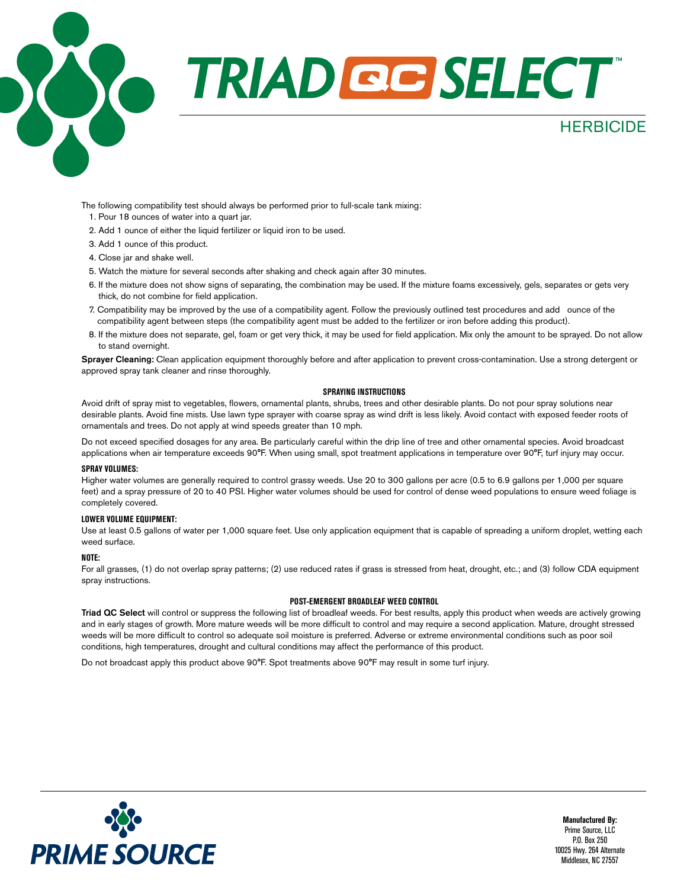

The following compatibility test should always be performed prior to full-scale tank mixing: 1. Pour 18 ounces of water into a quart jar.

- 2. Add 1 ounce of either the liquid fertilizer or liquid iron to be used.
- 3. Add 1 ounce of this product.
- 4. Close jar and shake well.
- 5. Watch the mixture for several seconds after shaking and check again after 30 minutes.
- 6. If the mixture does not show signs of separating, the combination may be used. If the mixture foams excessively, gels, separates or gets very thick, do not combine for field application.
- 7. Compatibility may be improved by the use of a compatibility agent. Follow the previously outlined test procedures and add ounce of the compatibility agent between steps (the compatibility agent must be added to the fertilizer or iron before adding this product).
- 8. If the mixture does not separate, gel, foam or get very thick, it may be used for field application. Mix only the amount to be sprayed. Do not allow to stand overnight.

Sprayer Cleaning: Clean application equipment thoroughly before and after application to prevent cross-contamination. Use a strong detergent or approved spray tank cleaner and rinse thoroughly.

#### **SPRAYING INSTRUCTIONS**

Avoid drift of spray mist to vegetables, flowers, ornamental plants, shrubs, trees and other desirable plants. Do not pour spray solutions near desirable plants. Avoid fine mists. Use lawn type sprayer with coarse spray as wind drift is less likely. Avoid contact with exposed feeder roots of ornamentals and trees. Do not apply at wind speeds greater than 10 mph.

Do not exceed specified dosages for any area. Be particularly careful within the drip line of tree and other ornamental species. Avoid broadcast applications when air temperature exceeds 90°F. When using small, spot treatment applications in temperature over 90°F, turf injury may occur.

#### **SPRAY VOLUMES:**

Higher water volumes are generally required to control grassy weeds. Use 20 to 300 gallons per acre (0.5 to 6.9 gallons per 1,000 per square feet) and a spray pressure of 20 to 40 PSI. Higher water volumes should be used for control of dense weed populations to ensure weed foliage is completely covered.

#### **LOWER VOLUME EQUIPMENT:**

Use at least 0.5 gallons of water per 1,000 square feet. Use only application equipment that is capable of spreading a uniform droplet, wetting each weed surface.

#### **NOTE:**

For all grasses, (1) do not overlap spray patterns; (2) use reduced rates if grass is stressed from heat, drought, etc.; and (3) follow CDA equipment spray instructions.

#### **POST-EMERGENT BROADLEAF WEED CONTROL**

Triad QC Select will control or suppress the following list of broadleaf weeds. For best results, apply this product when weeds are actively growing and in early stages of growth. More mature weeds will be more difficult to control and may require a second application. Mature, drought stressed weeds will be more difficult to control so adequate soil moisture is preferred. Adverse or extreme environmental conditions such as poor soil conditions, high temperatures, drought and cultural conditions may affect the performance of this product.

Do not broadcast apply this product above 90°F. Spot treatments above 90°F may result in some turf injury.

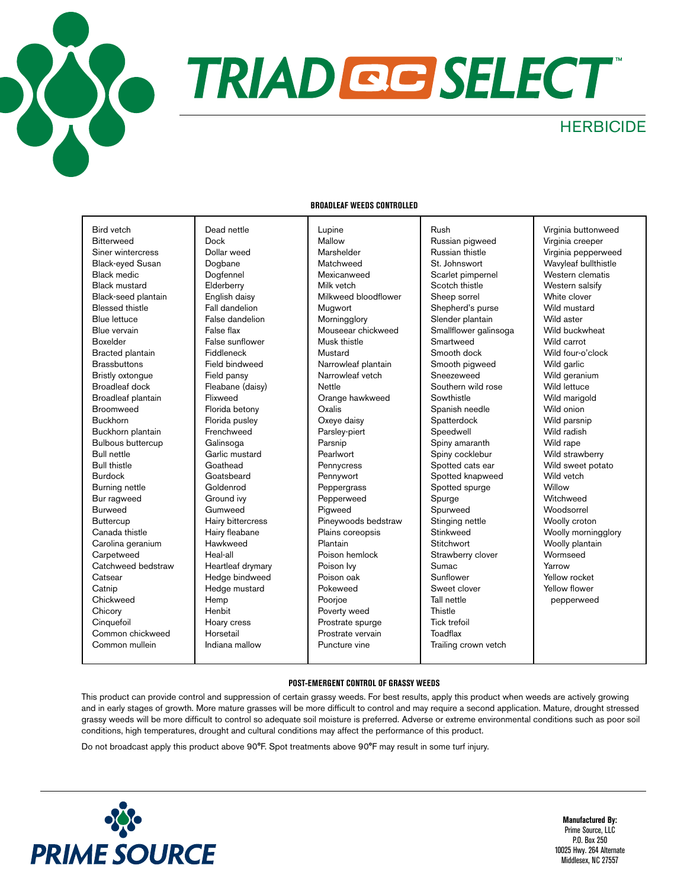

# **RIAD GG SELECT**

Rush

### **HERBICIDE**

#### **BROADLEAF WEEDS CONTROLLED**

Bird vetch Bitterweed Siner wintercress Black-eyed Susan Black medic Black mustard Black-seed plantain Blessed thistle Blue lettuce Blue vervain Boxelder Bracted plantain **Brassbuttons** Bristly oxtongue Broadleaf dock Broadleaf plantain Broomweed Buckhorn Buckhorn plantain Bulbous buttercup Bull nettle Bull thistle Burdock Burning nettle Bur ragweed Burweed **Buttercup** Canada thistle Carolina geranium Carpetweed Catchweed bedstraw **Catsear Catnip** Chickweed **Chicory Cinquefoil** Common chickweed Common mullein

Dead nettle Dock Dollar weed Dogbane Dogfennel **Elderberry** English daisy Fall dandelion False dandelion False flax False sunflower Fiddleneck Field bindweed Field pansy Fleabane (daisy) Flixweed Florida betony Florida pusley Frenchweed Galinsoga Garlic mustard Goathead **Goatsbeard** Goldenrod Ground ivy Gumweed Hairy bittercress Hairy fleabane Hawkweed Heal-all Heartleaf drymary Hedge bindweed Hedge mustard Hemp Henbit Hoary cress Horsetail Indiana mallow

Lupine Mallow Marshelder Matchweed Mexicanweed Milk vetch Milkweed bloodflower Mugwort Morningglory Mouseear chickweed Musk thistle Mustard Narrowleaf plantain Narrowleaf vetch Nettle Orange hawkweed **Oxalis** Oxeye daisy Parsley-piert Parsnip Pearlwort **Pennycress** Pennywort Peppergrass Pepperweed Pigweed Pineywoods bedstraw Plains coreopsis Plantain Poison hemlock Poison Ivy Poison oak Pokeweed Poorjoe Poverty weed Prostrate spurge Prostrate vervain Puncture vine

Russian pigweed Russian thistle St. Johnswort Scarlet pimpernel Scotch thistle Sheep sorrel Shepherd's purse Slender plantain Smallflower galinsoga Smartweed Smooth dock Smooth pigweed Sneezeweed Southern wild rose **Sowthistle** Spanish needle Spatterdock Speedwell Spiny amaranth Spiny cocklebur Spotted cats ear Spotted knapweed Spotted spurge Spurge Spurweed Stinging nettle Stinkweed **Stitchwort** Strawberry clover Sumac Sunflower Sweet clover Tall nettle **Thistle** Tick trefoil **Toadflax** Trailing crown vetch

Virginia buttonweed Virginia creeper Virginia pepperweed Wavyleaf bullthistle Western clematis Western salsify White clover Wild mustard Wild aster Wild buckwheat Wild carrot Wild four-o'clock Wild garlic Wild geranium Wild lettuce Wild marigold Wild onion Wild parsnip Wild radish Wild rape Wild strawberry Wild sweet potato Wild vetch **Willow** Witchweed Woodsorrel Woolly croton Woolly morningglory Woolly plantain Wormseed Yarrow Yellow rocket Yellow flower pepperweed

#### **POST-EMERGENT CONTROL OF GRASSY WEEDS**

This product can provide control and suppression of certain grassy weeds. For best results, apply this product when weeds are actively growing and in early stages of growth. More mature grasses will be more difficult to control and may require a second application. Mature, drought stressed grassy weeds will be more difficult to control so adequate soil moisture is preferred. Adverse or extreme environmental conditions such as poor soil conditions, high temperatures, drought and cultural conditions may affect the performance of this product.

Do not broadcast apply this product above 90°F. Spot treatments above 90°F may result in some turf injury.

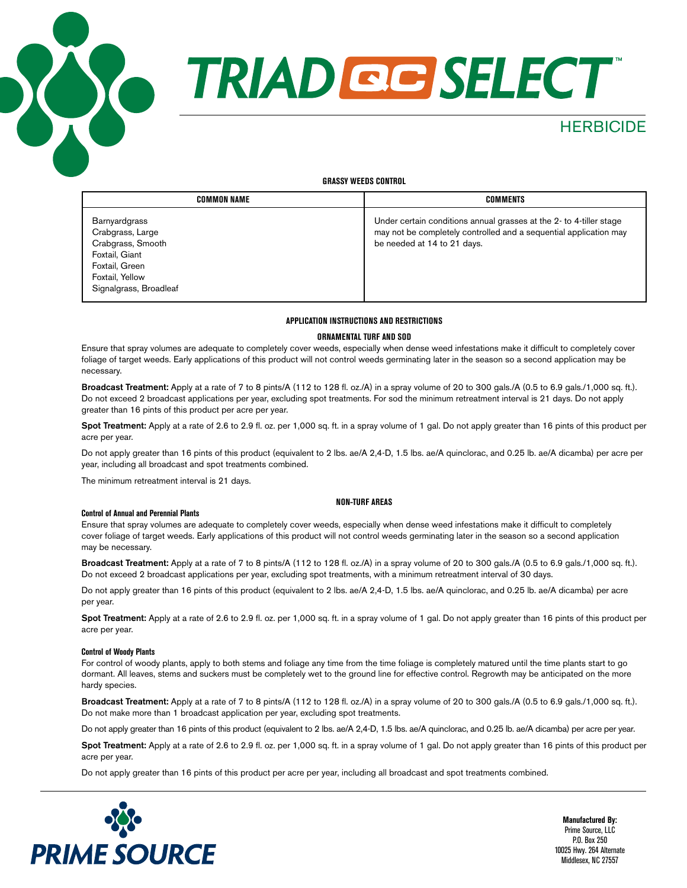



### **HERBICIDE**

#### **GRASSY WEEDS CONTROL**

| COMMON NAME                                                                                                                             | COMMENTS                                                                                                                                                               |
|-----------------------------------------------------------------------------------------------------------------------------------------|------------------------------------------------------------------------------------------------------------------------------------------------------------------------|
| Barnyardgrass<br>Crabgrass, Large<br>Crabgrass, Smooth<br>Foxtail, Giant<br>Foxtail, Green<br>Foxtail, Yellow<br>Signalgrass, Broadleaf | Under certain conditions annual grasses at the 2-to 4-tiller stage<br>may not be completely controlled and a sequential application may<br>be needed at 14 to 21 days. |

#### **APPLICATION INSTRUCTIONS AND RESTRICTIONS**

#### **ORNAMENTAL TURF AND SOD**

Ensure that spray volumes are adequate to completely cover weeds, especially when dense weed infestations make it difficult to completely cover foliage of target weeds. Early applications of this product will not control weeds germinating later in the season so a second application may be necessary.

Broadcast Treatment: Apply at a rate of 7 to 8 pints/A (112 to 128 fl. oz./A) in a spray volume of 20 to 300 gals./A (0.5 to 6.9 gals./1,000 sq. ft.). Do not exceed 2 broadcast applications per year, excluding spot treatments. For sod the minimum retreatment interval is 21 days. Do not apply greater than 16 pints of this product per acre per year.

Spot Treatment: Apply at a rate of 2.6 to 2.9 fl. oz. per 1,000 sq. ft. in a spray volume of 1 gal. Do not apply greater than 16 pints of this product per acre per year.

Do not apply greater than 16 pints of this product (equivalent to 2 lbs. ae/A 2,4-D, 1.5 lbs. ae/A quinclorac, and 0.25 lb. ae/A dicamba) per acre per year, including all broadcast and spot treatments combined.

The minimum retreatment interval is 21 days.

**Control of Annual and Perennial Plants**

#### **NON-TURF AREAS**

Ensure that spray volumes are adequate to completely cover weeds, especially when dense weed infestations make it difficult to completely cover foliage of target weeds. Early applications of this product will not control weeds germinating later in the season so a second application may be necessary.

Broadcast Treatment: Apply at a rate of 7 to 8 pints/A (112 to 128 fl. oz./A) in a spray volume of 20 to 300 gals./A (0.5 to 6.9 gals./1,000 sq. ft.). Do not exceed 2 broadcast applications per year, excluding spot treatments, with a minimum retreatment interval of 30 days.

Do not apply greater than 16 pints of this product (equivalent to 2 lbs. ae/A 2,4-D, 1.5 lbs. ae/A quinclorac, and 0.25 lb. ae/A dicamba) per acre per year.

Spot Treatment: Apply at a rate of 2.6 to 2.9 fl. oz. per 1,000 sq. ft. in a spray volume of 1 gal. Do not apply greater than 16 pints of this product per acre per year.

#### **Control of Woody Plants**

For control of woody plants, apply to both stems and foliage any time from the time foliage is completely matured until the time plants start to go dormant. All leaves, stems and suckers must be completely wet to the ground line for effective control. Regrowth may be anticipated on the more hardy species.

Broadcast Treatment: Apply at a rate of 7 to 8 pints/A (112 to 128 fl. oz./A) in a spray volume of 20 to 300 gals./A (0.5 to 6.9 gals./1,000 sq. ft.). Do not make more than 1 broadcast application per year, excluding spot treatments.

Do not apply greater than 16 pints of this product (equivalent to 2 lbs. ae/A 2,4-D, 1.5 lbs. ae/A quinclorac, and 0.25 lb. ae/A dicamba) per acre per year.

Spot Treatment: Apply at a rate of 2.6 to 2.9 fl. oz. per 1,000 sq. ft. in a spray volume of 1 gal. Do not apply greater than 16 pints of this product per acre per year.

Do not apply greater than 16 pints of this product per acre per year, including all broadcast and spot treatments combined.